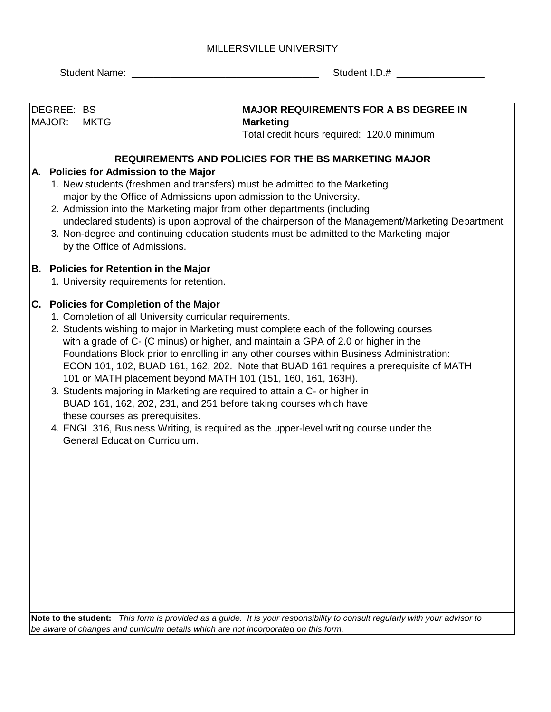## MILLERSVILLE UNIVERSITY

Student Name: \_\_\_\_\_\_\_\_\_\_\_\_\_\_\_\_\_\_\_\_\_\_\_\_\_\_\_\_\_\_\_\_\_\_ Student I.D.# \_\_\_\_\_\_\_\_\_\_\_\_\_\_\_\_

| DEGREE: BS |                                                                                    |             | <b>MAJOR REQUIREMENTS FOR A BS DEGREE IN</b>                                                                                                    |  |  |  |  |  |  |
|------------|------------------------------------------------------------------------------------|-------------|-------------------------------------------------------------------------------------------------------------------------------------------------|--|--|--|--|--|--|
|            | MAJOR:                                                                             | <b>MKTG</b> | <b>Marketing</b>                                                                                                                                |  |  |  |  |  |  |
|            |                                                                                    |             | Total credit hours required: 120.0 minimum                                                                                                      |  |  |  |  |  |  |
|            |                                                                                    |             | REQUIREMENTS AND POLICIES FOR THE BS MARKETING MAJOR                                                                                            |  |  |  |  |  |  |
|            |                                                                                    |             | A. Policies for Admission to the Major                                                                                                          |  |  |  |  |  |  |
|            |                                                                                    |             | 1. New students (freshmen and transfers) must be admitted to the Marketing                                                                      |  |  |  |  |  |  |
|            |                                                                                    |             | major by the Office of Admissions upon admission to the University.                                                                             |  |  |  |  |  |  |
|            |                                                                                    |             | 2. Admission into the Marketing major from other departments (including                                                                         |  |  |  |  |  |  |
|            |                                                                                    |             | undeclared students) is upon approval of the chairperson of the Management/Marketing Department                                                 |  |  |  |  |  |  |
|            |                                                                                    |             | 3. Non-degree and continuing education students must be admitted to the Marketing major<br>by the Office of Admissions.                         |  |  |  |  |  |  |
|            |                                                                                    |             | <b>B. Policies for Retention in the Major</b>                                                                                                   |  |  |  |  |  |  |
|            |                                                                                    |             | 1. University requirements for retention.                                                                                                       |  |  |  |  |  |  |
|            |                                                                                    |             | C. Policies for Completion of the Major                                                                                                         |  |  |  |  |  |  |
|            |                                                                                    |             | 1. Completion of all University curricular requirements.                                                                                        |  |  |  |  |  |  |
|            |                                                                                    |             | 2. Students wishing to major in Marketing must complete each of the following courses                                                           |  |  |  |  |  |  |
|            |                                                                                    |             | with a grade of C- (C minus) or higher, and maintain a GPA of 2.0 or higher in the                                                              |  |  |  |  |  |  |
|            |                                                                                    |             | Foundations Block prior to enrolling in any other courses within Business Administration:                                                       |  |  |  |  |  |  |
|            |                                                                                    |             | ECON 101, 102, BUAD 161, 162, 202. Note that BUAD 161 requires a prerequisite of MATH                                                           |  |  |  |  |  |  |
|            |                                                                                    |             | 101 or MATH placement beyond MATH 101 (151, 160, 161, 163H).                                                                                    |  |  |  |  |  |  |
|            |                                                                                    |             | 3. Students majoring in Marketing are required to attain a C- or higher in<br>BUAD 161, 162, 202, 231, and 251 before taking courses which have |  |  |  |  |  |  |
|            |                                                                                    |             | these courses as prerequisites.                                                                                                                 |  |  |  |  |  |  |
|            |                                                                                    |             | 4. ENGL 316, Business Writing, is required as the upper-level writing course under the                                                          |  |  |  |  |  |  |
|            |                                                                                    |             | <b>General Education Curriculum.</b>                                                                                                            |  |  |  |  |  |  |
|            |                                                                                    |             |                                                                                                                                                 |  |  |  |  |  |  |
|            |                                                                                    |             |                                                                                                                                                 |  |  |  |  |  |  |
|            |                                                                                    |             |                                                                                                                                                 |  |  |  |  |  |  |
|            |                                                                                    |             |                                                                                                                                                 |  |  |  |  |  |  |
|            |                                                                                    |             |                                                                                                                                                 |  |  |  |  |  |  |
|            |                                                                                    |             |                                                                                                                                                 |  |  |  |  |  |  |
|            |                                                                                    |             |                                                                                                                                                 |  |  |  |  |  |  |
|            |                                                                                    |             |                                                                                                                                                 |  |  |  |  |  |  |
|            |                                                                                    |             |                                                                                                                                                 |  |  |  |  |  |  |
|            |                                                                                    |             |                                                                                                                                                 |  |  |  |  |  |  |
|            |                                                                                    |             |                                                                                                                                                 |  |  |  |  |  |  |
|            |                                                                                    |             |                                                                                                                                                 |  |  |  |  |  |  |
|            |                                                                                    |             | Note to the student: This form is provided as a guide. It is your responsibility to consult regularly with your advisor to                      |  |  |  |  |  |  |
|            | be aware of changes and curriculm details which are not incorporated on this form. |             |                                                                                                                                                 |  |  |  |  |  |  |